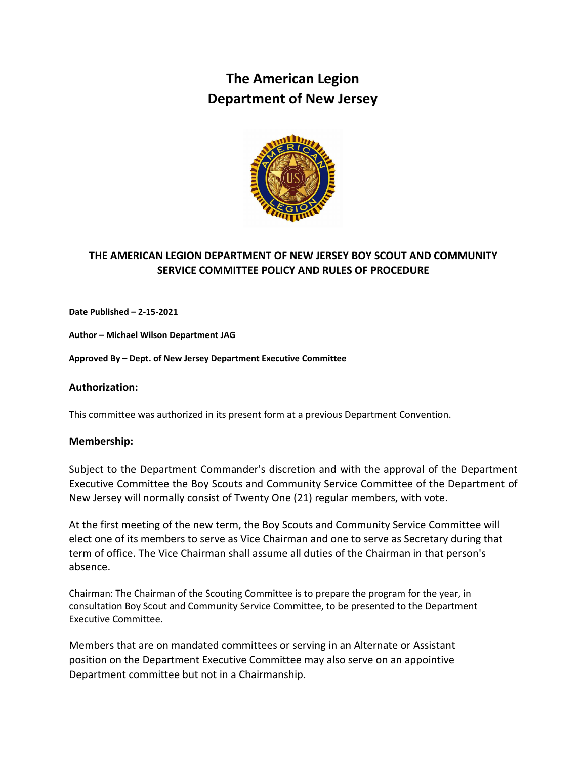# **The American Legion Department of New Jersey**



## **THE AMERICAN LEGION DEPARTMENT OF NEW JERSEY BOY SCOUT AND COMMUNITY SERVICE COMMITTEE POLICY AND RULES OF PROCEDURE**

**Date Published – 2-15-2021**

**Author – Michael Wilson Department JAG**

**Approved By – Dept. of New Jersey Department Executive Committee** 

#### **Authorization:**

This committee was authorized in its present form at a previous Department Convention.

#### **Membership:**

Subject to the Department Commander's discretion and with the approval of the Department Executive Committee the Boy Scouts and Community Service Committee of the Department of New Jersey will normally consist of Twenty One (21) regular members, with vote.

At the first meeting of the new term, the Boy Scouts and Community Service Committee will elect one of its members to serve as Vice Chairman and one to serve as Secretary during that term of office. The Vice Chairman shall assume all duties of the Chairman in that person's absence.

Chairman: The Chairman of the Scouting Committee is to prepare the program for the year, in consultation Boy Scout and Community Service Committee, to be presented to the Department Executive Committee.

Members that are on mandated committees or serving in an Alternate or Assistant position on the Department Executive Committee may also serve on an appointive Department committee but not in a Chairmanship.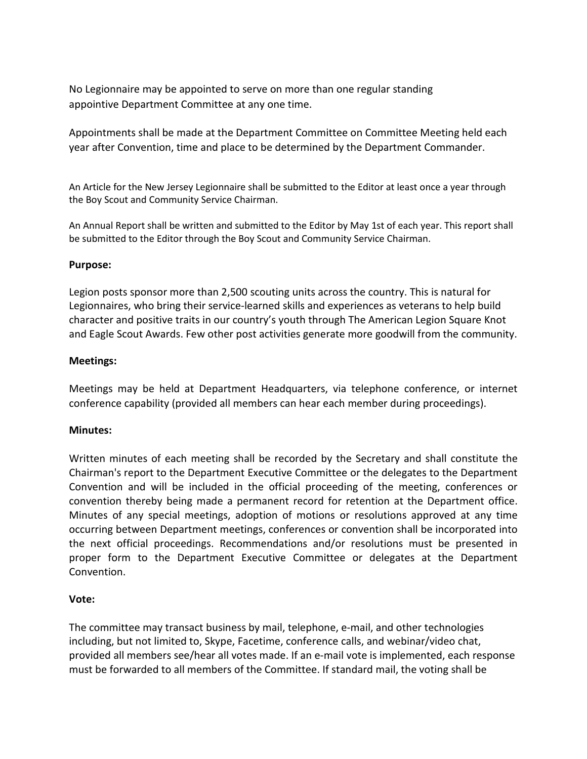No Legionnaire may be appointed to serve on more than one regular standing appointive Department Committee at any one time.

Appointments shall be made at the Department Committee on Committee Meeting held each year after Convention, time and place to be determined by the Department Commander.

An Article for the New Jersey Legionnaire shall be submitted to the Editor at least once a year through the Boy Scout and Community Service Chairman.

An Annual Report shall be written and submitted to the Editor by May 1st of each year. This report shall be submitted to the Editor through the Boy Scout and Community Service Chairman.

#### **Purpose:**

Legion posts sponsor more than 2,500 scouting units across the country. This is natural for Legionnaires, who bring their service-learned skills and experiences as veterans to help build character and positive traits in our country's youth through The American Legion Square Knot and Eagle Scout Awards. Few other post activities generate more goodwill from the community.

#### **Meetings:**

Meetings may be held at Department Headquarters, via telephone conference, or internet conference capability (provided all members can hear each member during proceedings).

#### **Minutes:**

Written minutes of each meeting shall be recorded by the Secretary and shall constitute the Chairman's report to the Department Executive Committee or the delegates to the Department Convention and will be included in the official proceeding of the meeting, conferences or convention thereby being made a permanent record for retention at the Department office. Minutes of any special meetings, adoption of motions or resolutions approved at any time occurring between Department meetings, conferences or convention shall be incorporated into the next official proceedings. Recommendations and/or resolutions must be presented in proper form to the Department Executive Committee or delegates at the Department Convention.

## **Vote:**

The committee may transact business by mail, telephone, e-mail, and other technologies including, but not limited to, Skype, Facetime, conference calls, and webinar/video chat, provided all members see/hear all votes made. If an e-mail vote is implemented, each response must be forwarded to all members of the Committee. If standard mail, the voting shall be